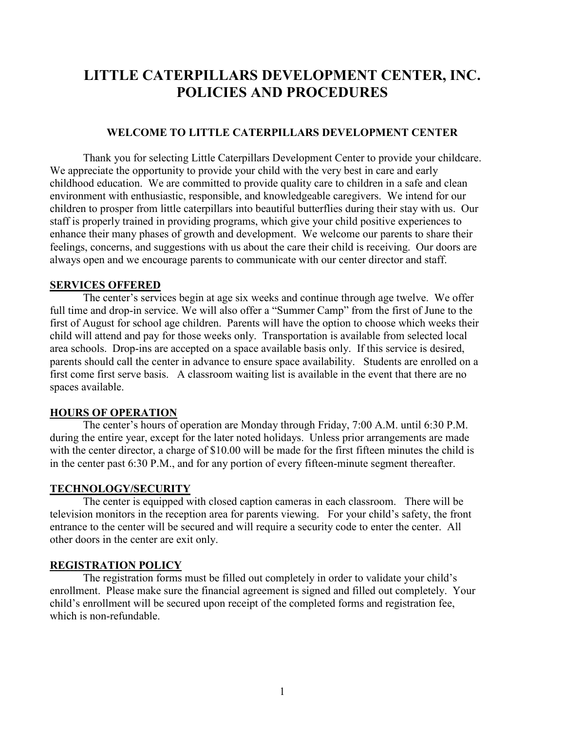# **LITTLE CATERPILLARS DEVELOPMENT CENTER, INC. POLICIES AND PROCEDURES**

#### **WELCOME TO LITTLE CATERPILLARS DEVELOPMENT CENTER**

Thank you for selecting Little Caterpillars Development Center to provide your childcare. We appreciate the opportunity to provide your child with the very best in care and early childhood education. We are committed to provide quality care to children in a safe and clean environment with enthusiastic, responsible, and knowledgeable caregivers. We intend for our children to prosper from little caterpillars into beautiful butterflies during their stay with us. Our staff is properly trained in providing programs, which give your child positive experiences to enhance their many phases of growth and development. We welcome our parents to share their feelings, concerns, and suggestions with us about the care their child is receiving. Our doors are always open and we encourage parents to communicate with our center director and staff.

#### **SERVICES OFFERED**

 The center's services begin at age six weeks and continue through age twelve. We offer full time and drop-in service. We will also offer a "Summer Camp" from the first of June to the first of August for school age children. Parents will have the option to choose which weeks their child will attend and pay for those weeks only. Transportation is available from selected local area schools. Drop-ins are accepted on a space available basis only. If this service is desired, parents should call the center in advance to ensure space availability. Students are enrolled on a first come first serve basis. A classroom waiting list is available in the event that there are no spaces available.

#### **HOURS OF OPERATION**

 The center's hours of operation are Monday through Friday, 7:00 A.M. until 6:30 P.M. during the entire year, except for the later noted holidays. Unless prior arrangements are made with the center director, a charge of \$10.00 will be made for the first fifteen minutes the child is in the center past 6:30 P.M., and for any portion of every fifteen-minute segment thereafter.

#### **TECHNOLOGY/SECURITY**

 The center is equipped with closed caption cameras in each classroom. There will be television monitors in the reception area for parents viewing. For your child's safety, the front entrance to the center will be secured and will require a security code to enter the center. All other doors in the center are exit only.

#### **REGISTRATION POLICY**

 The registration forms must be filled out completely in order to validate your child's enrollment. Please make sure the financial agreement is signed and filled out completely. Your child's enrollment will be secured upon receipt of the completed forms and registration fee, which is non-refundable.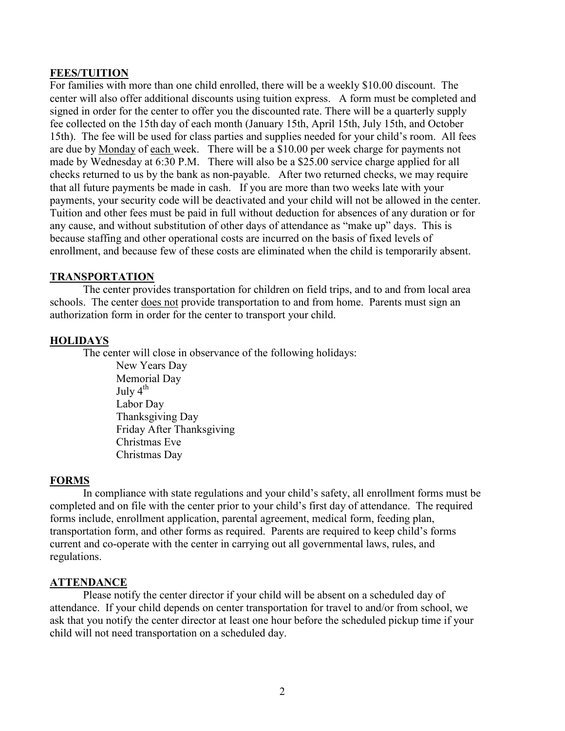# **FEES/TUITION**

For families with more than one child enrolled, there will be a weekly \$10.00 discount. The center will also offer additional discounts using tuition express. A form must be completed and signed in order for the center to offer you the discounted rate. There will be a quarterly supply fee collected on the 15th day of each month (January 15th, April 15th, July 15th, and October 15th). The fee will be used for class parties and supplies needed for your child's room. All fees are due by Monday of each week. There will be a \$10.00 per week charge for payments not made by Wednesday at 6:30 P.M. There will also be a \$25.00 service charge applied for all checks returned to us by the bank as non-payable. After two returned checks, we may require that all future payments be made in cash. If you are more than two weeks late with your payments, your security code will be deactivated and your child will not be allowed in the center. Tuition and other fees must be paid in full without deduction for absences of any duration or for any cause, and without substitution of other days of attendance as "make up" days. This is because staffing and other operational costs are incurred on the basis of fixed levels of enrollment, and because few of these costs are eliminated when the child is temporarily absent.

# **TRANSPORTATION**

 The center provides transportation for children on field trips, and to and from local area schools. The center does not provide transportation to and from home. Parents must sign an authorization form in order for the center to transport your child.

# **HOLIDAYS**

The center will close in observance of the following holidays:

New Years Day Memorial Day July  $4^{th}$  Labor Day Thanksgiving Day Friday After Thanksgiving Christmas Eve Christmas Day

# **FORMS**

 In compliance with state regulations and your child's safety, all enrollment forms must be completed and on file with the center prior to your child's first day of attendance. The required forms include, enrollment application, parental agreement, medical form, feeding plan, transportation form, and other forms as required. Parents are required to keep child's forms current and co-operate with the center in carrying out all governmental laws, rules, and regulations.

# **ATTENDANCE**

 Please notify the center director if your child will be absent on a scheduled day of attendance. If your child depends on center transportation for travel to and/or from school, we ask that you notify the center director at least one hour before the scheduled pickup time if your child will not need transportation on a scheduled day.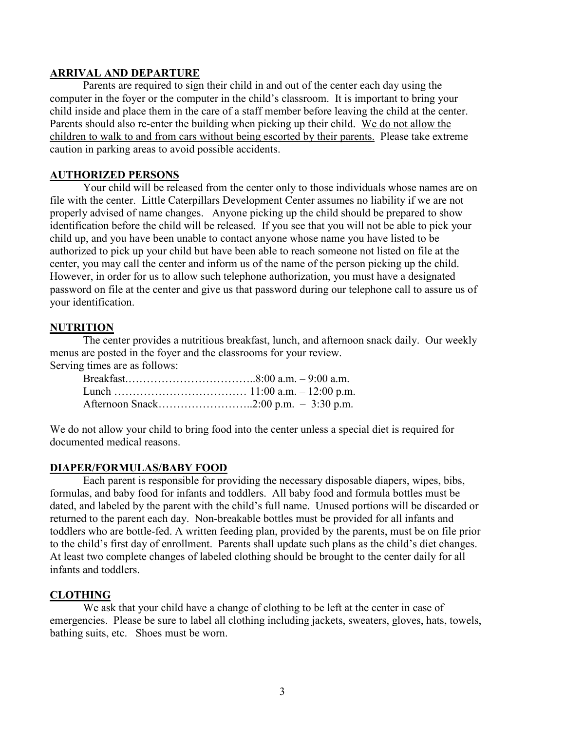### **ARRIVAL AND DEPARTURE**

 Parents are required to sign their child in and out of the center each day using the computer in the foyer or the computer in the child's classroom. It is important to bring your child inside and place them in the care of a staff member before leaving the child at the center. Parents should also re-enter the building when picking up their child. We do not allow the children to walk to and from cars without being escorted by their parents. Please take extreme caution in parking areas to avoid possible accidents.

## **AUTHORIZED PERSONS**

 Your child will be released from the center only to those individuals whose names are on file with the center. Little Caterpillars Development Center assumes no liability if we are not properly advised of name changes. Anyone picking up the child should be prepared to show identification before the child will be released. If you see that you will not be able to pick your child up, and you have been unable to contact anyone whose name you have listed to be authorized to pick up your child but have been able to reach someone not listed on file at the center, you may call the center and inform us of the name of the person picking up the child. However, in order for us to allow such telephone authorization, you must have a designated password on file at the center and give us that password during our telephone call to assure us of your identification.

#### **NUTRITION**

 The center provides a nutritious breakfast, lunch, and afternoon snack daily. Our weekly menus are posted in the foyer and the classrooms for your review.

Serving times are as follows:

We do not allow your child to bring food into the center unless a special diet is required for documented medical reasons.

#### **DIAPER/FORMULAS/BABY FOOD**

Each parent is responsible for providing the necessary disposable diapers, wipes, bibs, formulas, and baby food for infants and toddlers. All baby food and formula bottles must be dated, and labeled by the parent with the child's full name. Unused portions will be discarded or returned to the parent each day. Non-breakable bottles must be provided for all infants and toddlers who are bottle-fed. A written feeding plan, provided by the parents, must be on file prior to the child's first day of enrollment. Parents shall update such plans as the child's diet changes. At least two complete changes of labeled clothing should be brought to the center daily for all infants and toddlers.

#### **CLOTHING**

 We ask that your child have a change of clothing to be left at the center in case of emergencies. Please be sure to label all clothing including jackets, sweaters, gloves, hats, towels, bathing suits, etc. Shoes must be worn.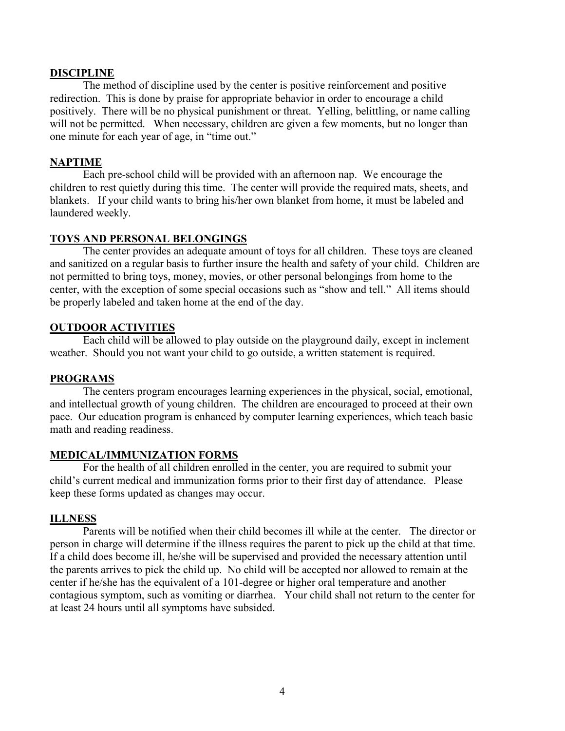## **DISCIPLINE**

 The method of discipline used by the center is positive reinforcement and positive redirection. This is done by praise for appropriate behavior in order to encourage a child positively. There will be no physical punishment or threat. Yelling, belittling, or name calling will not be permitted. When necessary, children are given a few moments, but no longer than one minute for each year of age, in "time out."

## **NAPTIME**

 Each pre-school child will be provided with an afternoon nap. We encourage the children to rest quietly during this time. The center will provide the required mats, sheets, and blankets. If your child wants to bring his/her own blanket from home, it must be labeled and laundered weekly.

#### **TOYS AND PERSONAL BELONGINGS**

 The center provides an adequate amount of toys for all children. These toys are cleaned and sanitized on a regular basis to further insure the health and safety of your child. Children are not permitted to bring toys, money, movies, or other personal belongings from home to the center, with the exception of some special occasions such as "show and tell." All items should be properly labeled and taken home at the end of the day.

#### **OUTDOOR ACTIVITIES**

 Each child will be allowed to play outside on the playground daily, except in inclement weather. Should you not want your child to go outside, a written statement is required.

#### **PROGRAMS**

 The centers program encourages learning experiences in the physical, social, emotional, and intellectual growth of young children. The children are encouraged to proceed at their own pace. Our education program is enhanced by computer learning experiences, which teach basic math and reading readiness.

#### **MEDICAL/IMMUNIZATION FORMS**

 For the health of all children enrolled in the center, you are required to submit your child's current medical and immunization forms prior to their first day of attendance. Please keep these forms updated as changes may occur.

#### **ILLNESS**

 Parents will be notified when their child becomes ill while at the center. The director or person in charge will determine if the illness requires the parent to pick up the child at that time. If a child does become ill, he/she will be supervised and provided the necessary attention until the parents arrives to pick the child up. No child will be accepted nor allowed to remain at the center if he/she has the equivalent of a 101-degree or higher oral temperature and another contagious symptom, such as vomiting or diarrhea. Your child shall not return to the center for at least 24 hours until all symptoms have subsided.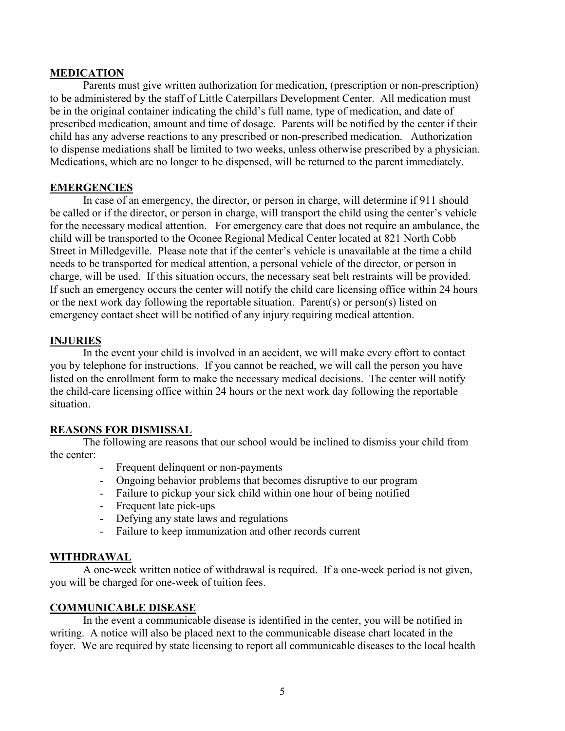### **MEDICATION**

 Parents must give written authorization for medication, (prescription or non-prescription) to be administered by the staff of Little Caterpillars Development Center. All medication must be in the original container indicating the child's full name, type of medication, and date of prescribed medication, amount and time of dosage. Parents will be notified by the center if their child has any adverse reactions to any prescribed or non-prescribed medication. Authorization to dispense mediations shall be limited to two weeks, unless otherwise prescribed by a physician. Medications, which are no longer to be dispensed, will be returned to the parent immediately.

# **EMERGENCIES**

 In case of an emergency, the director, or person in charge, will determine if 911 should be called or if the director, or person in charge, will transport the child using the center's vehicle for the necessary medical attention. For emergency care that does not require an ambulance, the child will be transported to the Oconee Regional Medical Center located at 821 North Cobb Street in Milledgeville. Please note that if the center's vehicle is unavailable at the time a child needs to be transported for medical attention, a personal vehicle of the director, or person in charge, will be used. If this situation occurs, the necessary seat belt restraints will be provided. If such an emergency occurs the center will notify the child care licensing office within 24 hours or the next work day following the reportable situation. Parent(s) or person(s) listed on emergency contact sheet will be notified of any injury requiring medical attention.

# **INJURIES**

 In the event your child is involved in an accident, we will make every effort to contact you by telephone for instructions. If you cannot be reached, we will call the person you have listed on the enrollment form to make the necessary medical decisions. The center will notify the child-care licensing office within 24 hours or the next work day following the reportable situation.

# **REASONS FOR DISMISSAL**

 The following are reasons that our school would be inclined to dismiss your child from the center:

- Frequent delinquent or non-payments
- Ongoing behavior problems that becomes disruptive to our program
- Failure to pickup your sick child within one hour of being notified
- Frequent late pick-ups
- Defying any state laws and regulations
- Failure to keep immunization and other records current

#### **WITHDRAWAL**

 A one-week written notice of withdrawal is required. If a one-week period is not given, you will be charged for one-week of tuition fees.

# **COMMUNICABLE DISEASE**

 In the event a communicable disease is identified in the center, you will be notified in writing. A notice will also be placed next to the communicable disease chart located in the foyer. We are required by state licensing to report all communicable diseases to the local health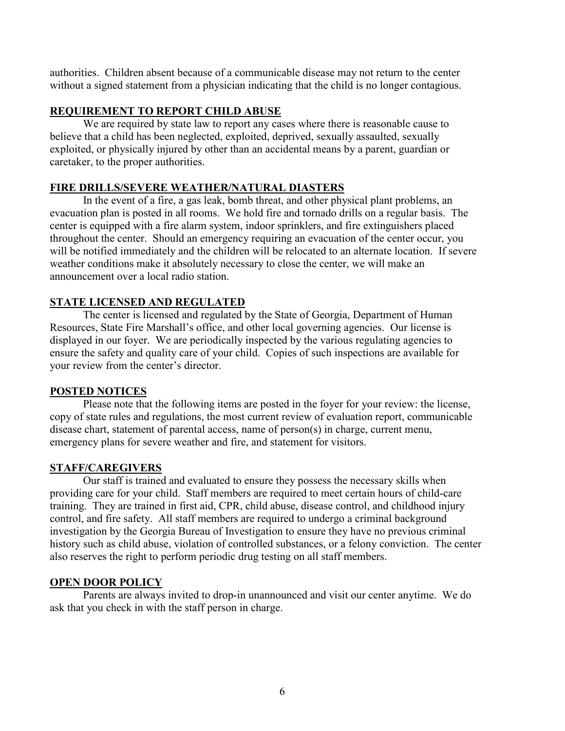authorities. Children absent because of a communicable disease may not return to the center without a signed statement from a physician indicating that the child is no longer contagious.

# **REQUIREMENT TO REPORT CHILD ABUSE**

 We are required by state law to report any cases where there is reasonable cause to believe that a child has been neglected, exploited, deprived, sexually assaulted, sexually exploited, or physically injured by other than an accidental means by a parent, guardian or caretaker, to the proper authorities.

# **FIRE DRILLS/SEVERE WEATHER/NATURAL DIASTERS**

 In the event of a fire, a gas leak, bomb threat, and other physical plant problems, an evacuation plan is posted in all rooms. We hold fire and tornado drills on a regular basis. The center is equipped with a fire alarm system, indoor sprinklers, and fire extinguishers placed throughout the center. Should an emergency requiring an evacuation of the center occur, you will be notified immediately and the children will be relocated to an alternate location. If severe weather conditions make it absolutely necessary to close the center, we will make an announcement over a local radio station.

# **STATE LICENSED AND REGULATED**

 The center is licensed and regulated by the State of Georgia, Department of Human Resources, State Fire Marshall's office, and other local governing agencies. Our license is displayed in our foyer. We are periodically inspected by the various regulating agencies to ensure the safety and quality care of your child. Copies of such inspections are available for your review from the center's director.

# **POSTED NOTICES**

 Please note that the following items are posted in the foyer for your review: the license, copy of state rules and regulations, the most current review of evaluation report, communicable disease chart, statement of parental access, name of person(s) in charge, current menu, emergency plans for severe weather and fire, and statement for visitors.

# **STAFF/CAREGIVERS**

 Our staff is trained and evaluated to ensure they possess the necessary skills when providing care for your child. Staff members are required to meet certain hours of child-care training. They are trained in first aid, CPR, child abuse, disease control, and childhood injury control, and fire safety. All staff members are required to undergo a criminal background investigation by the Georgia Bureau of Investigation to ensure they have no previous criminal history such as child abuse, violation of controlled substances, or a felony conviction. The center also reserves the right to perform periodic drug testing on all staff members.

# **OPEN DOOR POLICY**

 Parents are always invited to drop-in unannounced and visit our center anytime. We do ask that you check in with the staff person in charge.